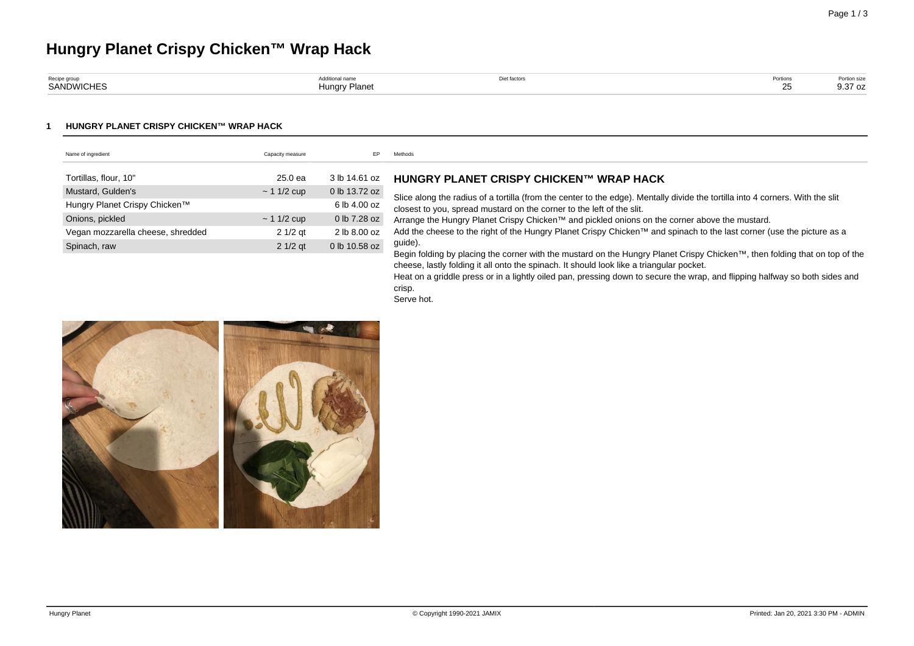# **Hungry Planet Crispy Chicken™ Wrap Hack**

| Recipe group      |                  | Diet factor. | 1.911011 | Portion size      |
|-------------------|------------------|--------------|----------|-------------------|
| <b>SANDWICHES</b> | Planet<br>lunarv |              | $\sim$   | $\sim$<br>9.37 oz |

#### **1 HUNGRY PLANET CRISPY CHICKEN™ WRAP HACK**

| Name of ingredient                | Capacity measure | EP            | Methods                                                                                                                                                                                                                 |
|-----------------------------------|------------------|---------------|-------------------------------------------------------------------------------------------------------------------------------------------------------------------------------------------------------------------------|
|                                   |                  |               |                                                                                                                                                                                                                         |
| Tortillas, flour, 10"             | 25.0 ea          | 3 lb 14.61 oz | HUNGRY PLANET CRISPY CHICKEN™ WRAP HACK                                                                                                                                                                                 |
| Mustard, Gulden's                 | $\sim$ 1 1/2 cup | 0 lb 13.72 oz |                                                                                                                                                                                                                         |
| Hungry Planet Crispy Chicken™     |                  | 6 lb 4.00 oz  | Slice along the radius of a tortilla (from the center to the edge). Mentally divide the tortilla into 4 corners. With the slit<br>closest to you, spread mustard on the corner to the left of the slit.                 |
| Onions, pickled                   | $\sim$ 1 1/2 cup | 0 lb 7.28 oz  | Arrange the Hungry Planet Crispy Chicken™ and pickled onions on the corner above the mustard.                                                                                                                           |
| Vegan mozzarella cheese, shredded | $21/2$ gt        | 2 lb 8.00 oz  | Add the cheese to the right of the Hungry Planet Crispy Chicken™ and spinach to the last corner (use the picture as a                                                                                                   |
| Spinach, raw                      | $21/2$ qt        | 0 lb 10.58 oz | guide).                                                                                                                                                                                                                 |
|                                   |                  |               | Begin folding by placing the corner with the mustard on the Hungry Planet Crispy Chicken™, then folding that on top of the                                                                                              |
|                                   |                  |               | cheese, lastly folding it all onto the spinach. It should look like a triangular pocket.<br>Heat on a griddle press or in a lightly oiled pan, pressing down to secure the wrap, and flipping halfway so both sides and |
|                                   |                  |               | crisp.                                                                                                                                                                                                                  |

Serve hot.

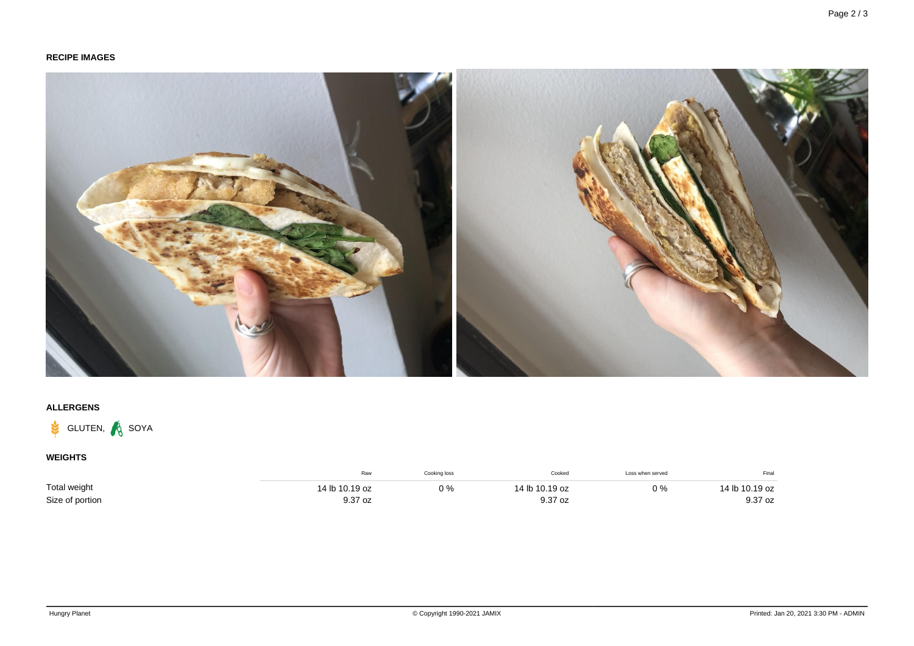## **RECIPE IMAGES**



## **ALLERGENS**



## **WEIGHTS**

|                 | Raw            | Cooking loss | Cooked         | Loss when served | Final          |
|-----------------|----------------|--------------|----------------|------------------|----------------|
| Total weight    | 14 lb 10.19 oz | 0%           | 14 lb 10.19 oz | 0 %              | 14 lb 10.19 oz |
| Size of portion | 9.37 oz        |              | 9.37 oz        |                  | 9.37 oz        |